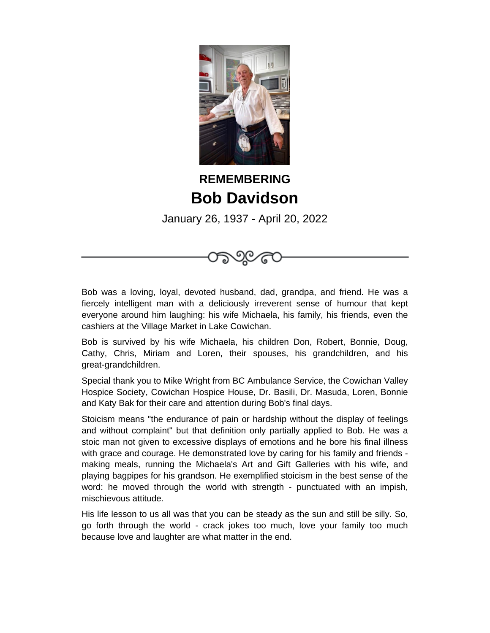

## **REMEMBERING Bob Davidson**

January 26, 1937 - April 20, 2022

<u>ର୍ତ</u>

Bob was a loving, loyal, devoted husband, dad, grandpa, and friend. He was a fiercely intelligent man with a deliciously irreverent sense of humour that kept everyone around him laughing: his wife Michaela, his family, his friends, even the cashiers at the Village Market in Lake Cowichan.

Bob is survived by his wife Michaela, his children Don, Robert, Bonnie, Doug, Cathy, Chris, Miriam and Loren, their spouses, his grandchildren, and his great-grandchildren.

Special thank you to Mike Wright from BC Ambulance Service, the Cowichan Valley Hospice Society, Cowichan Hospice House, Dr. Basili, Dr. Masuda, Loren, Bonnie and Katy Bak for their care and attention during Bob's final days.

Stoicism means "the endurance of pain or hardship without the display of feelings and without complaint" but that definition only partially applied to Bob. He was a stoic man not given to excessive displays of emotions and he bore his final illness with grace and courage. He demonstrated love by caring for his family and friends making meals, running the Michaela's Art and Gift Galleries with his wife, and playing bagpipes for his grandson. He exemplified stoicism in the best sense of the word: he moved through the world with strength - punctuated with an impish, mischievous attitude.

His life lesson to us all was that you can be steady as the sun and still be silly. So, go forth through the world - crack jokes too much, love your family too much because love and laughter are what matter in the end.